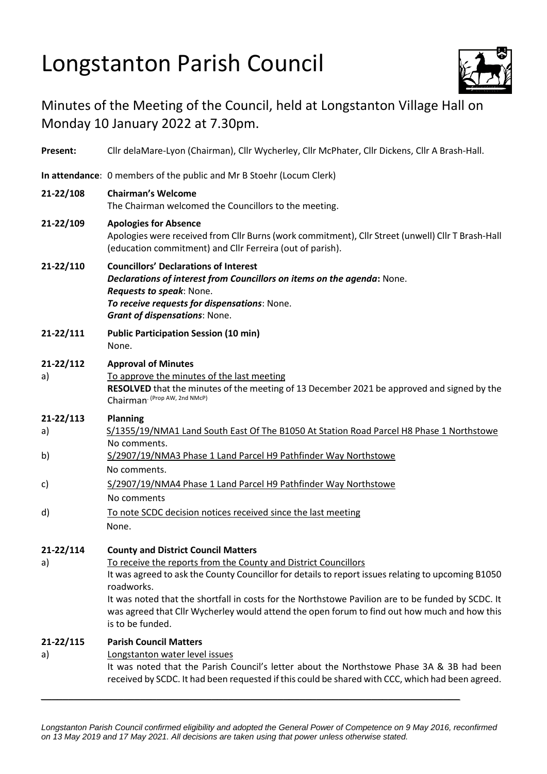## Longstanton Parish Council



## Minutes of the Meeting of the Council, held at Longstanton Village Hall on Monday 10 January 2022 at 7.30pm.

| Present:        | Cllr delaMare-Lyon (Chairman), Cllr Wycherley, Cllr McPhater, Cllr Dickens, Cllr A Brash-Hall.                                                                                                                                                                                                                                                                                                                                                             |
|-----------------|------------------------------------------------------------------------------------------------------------------------------------------------------------------------------------------------------------------------------------------------------------------------------------------------------------------------------------------------------------------------------------------------------------------------------------------------------------|
|                 | In attendance: 0 members of the public and Mr B Stoehr (Locum Clerk)                                                                                                                                                                                                                                                                                                                                                                                       |
| 21-22/108       | <b>Chairman's Welcome</b><br>The Chairman welcomed the Councillors to the meeting.                                                                                                                                                                                                                                                                                                                                                                         |
| 21-22/109       | <b>Apologies for Absence</b><br>Apologies were received from Cllr Burns (work commitment), Cllr Street (unwell) Cllr T Brash-Hall<br>(education commitment) and Cllr Ferreira (out of parish).                                                                                                                                                                                                                                                             |
| 21-22/110       | <b>Councillors' Declarations of Interest</b><br>Declarations of interest from Councillors on items on the agenda: None.<br>Requests to speak: None.<br>To receive requests for dispensations: None.<br><b>Grant of dispensations: None.</b>                                                                                                                                                                                                                |
| 21-22/111       | <b>Public Participation Session (10 min)</b><br>None.                                                                                                                                                                                                                                                                                                                                                                                                      |
| 21-22/112<br>a) | <b>Approval of Minutes</b><br>To approve the minutes of the last meeting<br>RESOLVED that the minutes of the meeting of 13 December 2021 be approved and signed by the<br>Chairman (Prop AW, 2nd NMcP)                                                                                                                                                                                                                                                     |
| 21-22/113       | <b>Planning</b>                                                                                                                                                                                                                                                                                                                                                                                                                                            |
| a)              | S/1355/19/NMA1 Land South East Of The B1050 At Station Road Parcel H8 Phase 1 Northstowe<br>No comments.                                                                                                                                                                                                                                                                                                                                                   |
| b)              | S/2907/19/NMA3 Phase 1 Land Parcel H9 Pathfinder Way Northstowe<br>No comments.                                                                                                                                                                                                                                                                                                                                                                            |
| c)              | S/2907/19/NMA4 Phase 1 Land Parcel H9 Pathfinder Way Northstowe<br>No comments                                                                                                                                                                                                                                                                                                                                                                             |
| d)              | To note SCDC decision notices received since the last meeting<br>None.                                                                                                                                                                                                                                                                                                                                                                                     |
| 21-22/114<br>a) | <b>County and District Council Matters</b><br>To receive the reports from the County and District Councillors<br>It was agreed to ask the County Councillor for details to report issues relating to upcoming B1050<br>roadworks.<br>It was noted that the shortfall in costs for the Northstowe Pavilion are to be funded by SCDC. It<br>was agreed that Cllr Wycherley would attend the open forum to find out how much and how this<br>is to be funded. |
| 21-22/115<br>a) | <b>Parish Council Matters</b><br>Longstanton water level issues<br>It was noted that the Parish Council's letter about the Northstowe Phase 3A & 3B had been<br>received by SCDC. It had been requested if this could be shared with CCC, which had been agreed.                                                                                                                                                                                           |